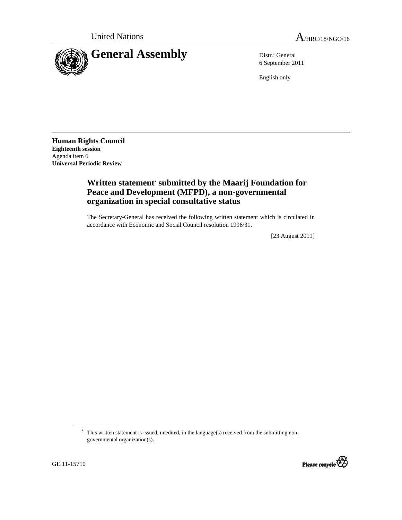

6 September 2011

English only

**Human Rights Council Eighteenth session**  Agenda item 6 **Universal Periodic Review** 

## **Written statement\* submitted by the Maarij Foundation for Peace and Development (MFPD), a non-governmental organization in special consultative status**

The Secretary-General has received the following written statement which is circulated in accordance with Economic and Social Council resolution 1996/31.

[23 August 2011]

<sup>\*</sup> This written statement is issued, unedited, in the language(s) received from the submitting nongovernmental organization(s).

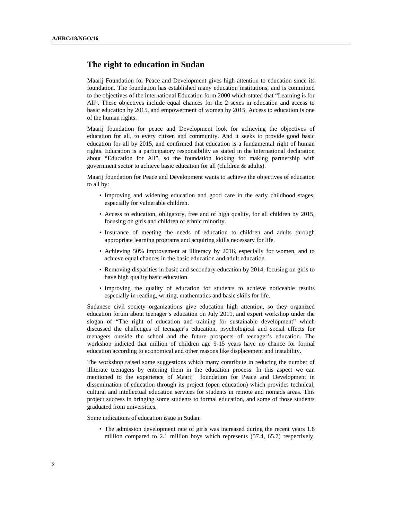## **The right to education in Sudan**

Maarij Foundation for Peace and Development gives high attention to education since its foundation. The foundation has established many education institutions, and is committed to the objectives of the international Education form 2000 which stated that "Learning is for All". These objectives include equal chances for the 2 sexes in education and access to basic education by 2015, and empowerment of women by 2015. Access to education is one of the human rights.

Maarij foundation for peace and Development look for achieving the objectives of education for all, to every citizen and community. And it seeks to provide good basic education for all by 2015, and confirmed that education is a fundamental right of human rights. Education is a participatory responsibility as stated in the international declaration about "Education for All", so the foundation looking for making partnership with government sector to achieve basic education for all (children & adults).

Maarij foundation for Peace and Development wants to achieve the objectives of education to all by:

- Improving and widening education and good care in the early childhood stages, especially for vulnerable children.
- Access to education, obligatory, free and of high quality, for all children by 2015, focusing on girls and children of ethnic minority.
- Insurance of meeting the needs of education to children and adults through appropriate learning programs and acquiring skills necessary for life.
- Achieving 50% improvement at illiteracy by 2016, especially for women, and to achieve equal chances in the basic education and adult education.
- Removing disparities in basic and secondary education by 2014, focusing on girls to have high quality basic education.
- Improving the quality of education for students to achieve noticeable results especially in reading, writing, mathematics and basic skills for life.

Sudanese civil society organizations give education high attention, so they organized education forum about teenager's education on July 2011, and expert workshop under the slogan of "The right of education and training for sustainable development" which discussed the challenges of teenager's education, psychological and social effects for teenagers outside the school and the future prospects of teenager's education. The workshop indicted that million of children age 9-15 years have no chance for formal education according to economical and other reasons like displacement and instability.

The workshop raised some suggestions which many contribute in reducing the number of illiterate teenagers by entering them in the education process. In this aspect we can mentioned to the experience of Maarij foundation for Peace and Development in dissemination of education through its project (open education) which provides technical, cultural and intellectual education services for students in remote and nomads areas. This project success in bringing some students to formal education, and some of those students graduated from universities.

Some indications of education issue in Sudan:

• The admission development rate of girls was increased during the recent years 1.8 million compared to 2.1 million boys which represents (57.4, 65.7) respectively.